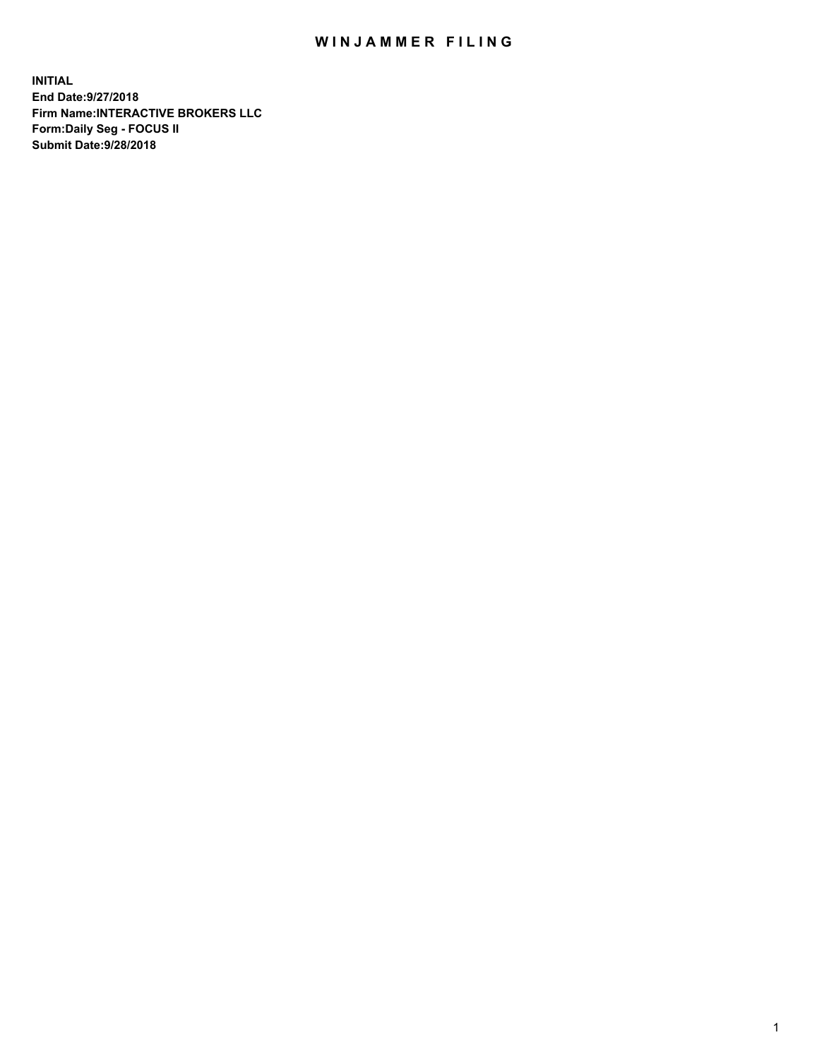## WIN JAMMER FILING

**INITIAL End Date:9/27/2018 Firm Name:INTERACTIVE BROKERS LLC Form:Daily Seg - FOCUS II Submit Date:9/28/2018**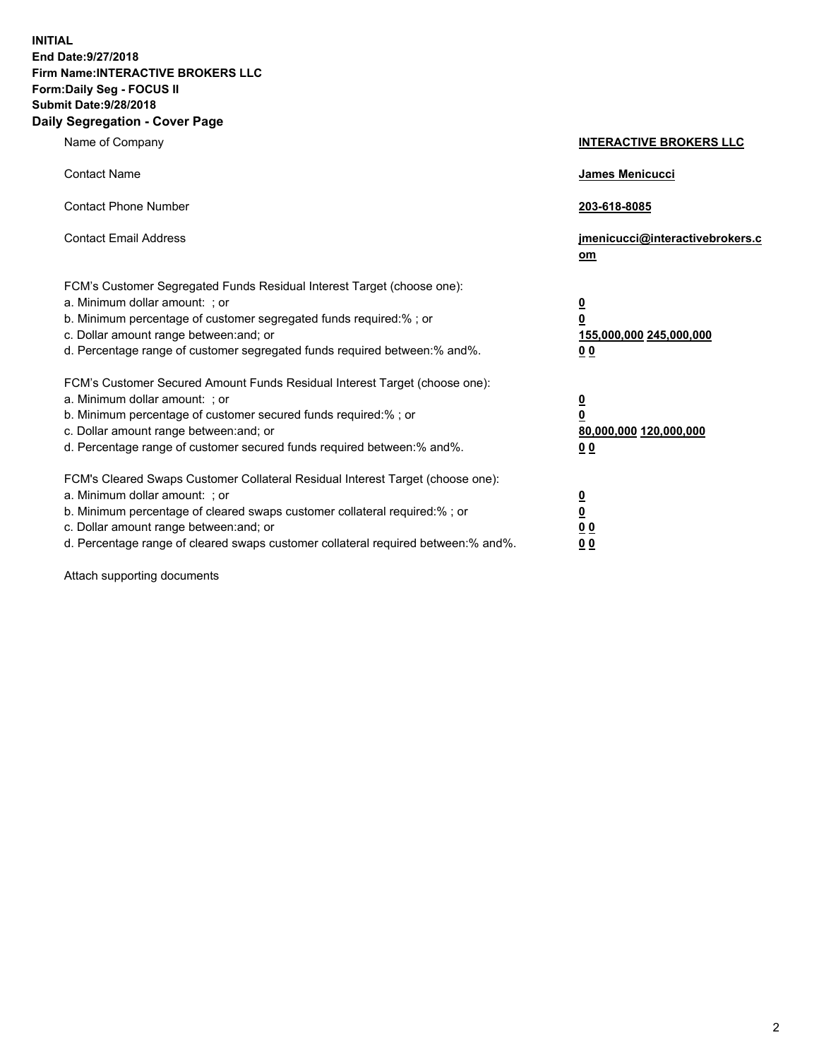**INITIAL End Date:9/27/2018 Firm Name:INTERACTIVE BROKERS LLC Form:Daily Seg - FOCUS II Submit Date:9/28/2018 Daily Segregation - Cover Page**

| Name of Company                                                                                                                                                                                                                                                                                                                | <b>INTERACTIVE BROKERS LLC</b>                                                                  |
|--------------------------------------------------------------------------------------------------------------------------------------------------------------------------------------------------------------------------------------------------------------------------------------------------------------------------------|-------------------------------------------------------------------------------------------------|
| <b>Contact Name</b>                                                                                                                                                                                                                                                                                                            | James Menicucci                                                                                 |
| <b>Contact Phone Number</b>                                                                                                                                                                                                                                                                                                    | 203-618-8085                                                                                    |
| <b>Contact Email Address</b>                                                                                                                                                                                                                                                                                                   | jmenicucci@interactivebrokers.c<br>om                                                           |
| FCM's Customer Segregated Funds Residual Interest Target (choose one):<br>a. Minimum dollar amount: ; or<br>b. Minimum percentage of customer segregated funds required:% ; or<br>c. Dollar amount range between: and; or<br>d. Percentage range of customer segregated funds required between:% and%.                         | $\overline{\mathbf{0}}$<br>$\overline{\mathbf{0}}$<br>155,000,000 245,000,000<br>0 <sub>0</sub> |
| FCM's Customer Secured Amount Funds Residual Interest Target (choose one):<br>a. Minimum dollar amount: ; or<br>b. Minimum percentage of customer secured funds required:% ; or<br>c. Dollar amount range between: and; or<br>d. Percentage range of customer secured funds required between:% and%.                           | $\overline{\mathbf{0}}$<br>0<br>80,000,000 120,000,000<br>0 <sub>0</sub>                        |
| FCM's Cleared Swaps Customer Collateral Residual Interest Target (choose one):<br>a. Minimum dollar amount: ; or<br>b. Minimum percentage of cleared swaps customer collateral required:% ; or<br>c. Dollar amount range between: and; or<br>d. Percentage range of cleared swaps customer collateral required between:% and%. | $\overline{\mathbf{0}}$<br><u>0</u><br>$\underline{0}$ $\underline{0}$<br>00                    |

Attach supporting documents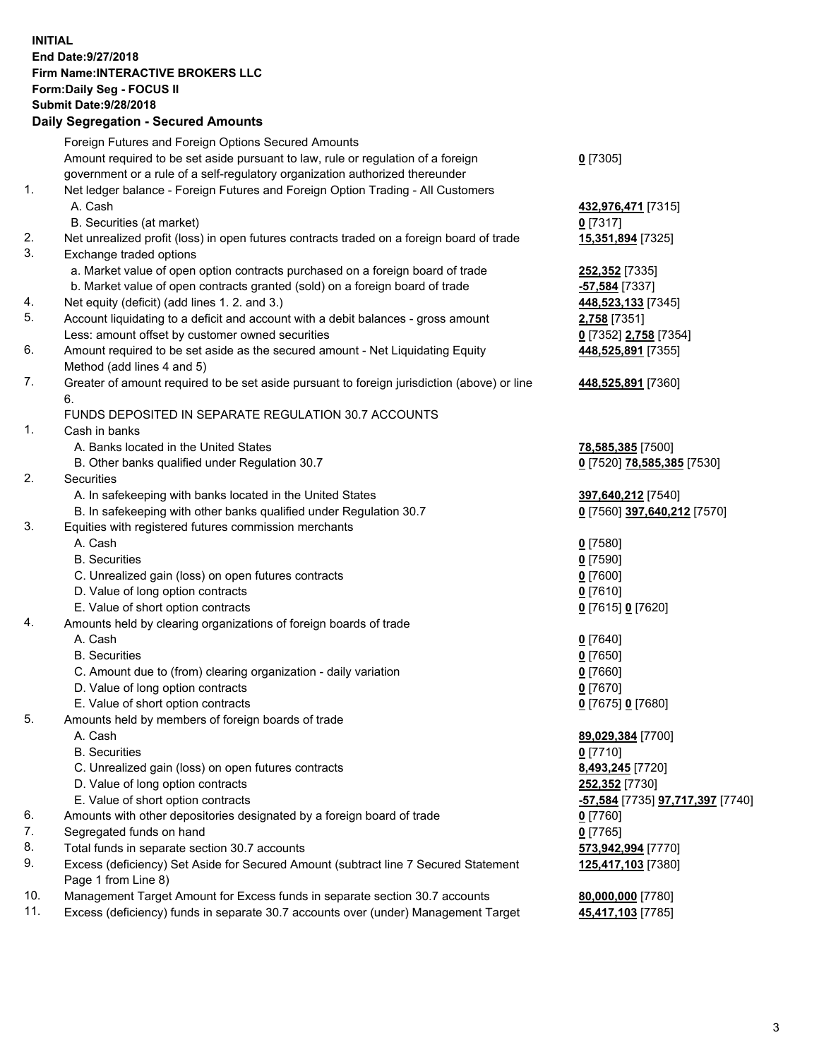## **INITIAL End Date:9/27/2018 Firm Name:INTERACTIVE BROKERS LLC Form:Daily Seg - FOCUS II Submit Date:9/28/2018 Daily Segregation - Secured Amounts**

|     | Daily Ocglegation - Occarea Anioants                                                        |                                                            |
|-----|---------------------------------------------------------------------------------------------|------------------------------------------------------------|
|     | Foreign Futures and Foreign Options Secured Amounts                                         |                                                            |
|     | Amount required to be set aside pursuant to law, rule or regulation of a foreign            | $0$ [7305]                                                 |
|     | government or a rule of a self-regulatory organization authorized thereunder                |                                                            |
| 1.  | Net ledger balance - Foreign Futures and Foreign Option Trading - All Customers             |                                                            |
|     | A. Cash                                                                                     | 432,976,471 [7315]                                         |
|     | B. Securities (at market)                                                                   | $0$ [7317]                                                 |
| 2.  | Net unrealized profit (loss) in open futures contracts traded on a foreign board of trade   | 15,351,894 [7325]                                          |
| 3.  | Exchange traded options                                                                     |                                                            |
|     | a. Market value of open option contracts purchased on a foreign board of trade              | 252,352 [7335]                                             |
|     | b. Market value of open contracts granted (sold) on a foreign board of trade                | -57,584 [7337]                                             |
| 4.  | Net equity (deficit) (add lines 1.2. and 3.)                                                | 448,523,133 [7345]                                         |
| 5.  | Account liquidating to a deficit and account with a debit balances - gross amount           | 2,758 [7351]                                               |
|     | Less: amount offset by customer owned securities                                            | 0 [7352] 2,758 [7354]                                      |
| 6.  | Amount required to be set aside as the secured amount - Net Liquidating Equity              | 448,525,891 [7355]                                         |
|     | Method (add lines 4 and 5)                                                                  |                                                            |
| 7.  | Greater of amount required to be set aside pursuant to foreign jurisdiction (above) or line | 448,525,891 [7360]                                         |
|     | 6.                                                                                          |                                                            |
|     | FUNDS DEPOSITED IN SEPARATE REGULATION 30.7 ACCOUNTS                                        |                                                            |
| 1.  | Cash in banks                                                                               |                                                            |
|     | A. Banks located in the United States                                                       | 78,585,385 [7500]                                          |
|     | B. Other banks qualified under Regulation 30.7                                              | 0 [7520] 78,585,385 [7530]                                 |
| 2.  | Securities                                                                                  |                                                            |
|     | A. In safekeeping with banks located in the United States                                   | 397,640,212 [7540]                                         |
|     | B. In safekeeping with other banks qualified under Regulation 30.7                          | 0 [7560] 397,640,212 [7570]                                |
| 3.  | Equities with registered futures commission merchants                                       |                                                            |
|     | A. Cash                                                                                     | $0$ [7580]                                                 |
|     | <b>B.</b> Securities                                                                        | $0$ [7590]                                                 |
|     | C. Unrealized gain (loss) on open futures contracts                                         | $0$ [7600]                                                 |
|     | D. Value of long option contracts                                                           | $0$ [7610]                                                 |
|     | E. Value of short option contracts                                                          | 0 [7615] 0 [7620]                                          |
| 4.  | Amounts held by clearing organizations of foreign boards of trade                           |                                                            |
|     | A. Cash                                                                                     | $0$ [7640]                                                 |
|     | <b>B.</b> Securities                                                                        | $0$ [7650]                                                 |
|     | C. Amount due to (from) clearing organization - daily variation                             | $0$ [7660]                                                 |
|     | D. Value of long option contracts                                                           | $0$ [7670]                                                 |
|     | E. Value of short option contracts                                                          | 0 [7675] 0 [7680]                                          |
| 5.  | Amounts held by members of foreign boards of trade                                          |                                                            |
|     | A. Cash                                                                                     | 89,029,384 [7700]                                          |
|     | <b>B.</b> Securities                                                                        | $0$ [7710]                                                 |
|     | C. Unrealized gain (loss) on open futures contracts                                         | 8,493,245 [7720]                                           |
|     | D. Value of long option contracts                                                           | 252,352 [7730]                                             |
|     | E. Value of short option contracts                                                          | <mark>-57,584</mark> [7735] <mark>97,717,397</mark> [7740] |
| 6.  | Amounts with other depositories designated by a foreign board of trade                      | 0 [7760]                                                   |
| 7.  | Segregated funds on hand                                                                    | $0$ [7765]                                                 |
| 8.  | Total funds in separate section 30.7 accounts                                               | 573,942,994 [7770]                                         |
| 9.  | Excess (deficiency) Set Aside for Secured Amount (subtract line 7 Secured Statement         | 125,417,103 [7380]                                         |
|     | Page 1 from Line 8)                                                                         |                                                            |
| 10. | Management Target Amount for Excess funds in separate section 30.7 accounts                 | 80,000,000 [7780]                                          |
| 11. | Excess (deficiency) funds in separate 30.7 accounts over (under) Management Target          | 45,417,103 [7785]                                          |
|     |                                                                                             |                                                            |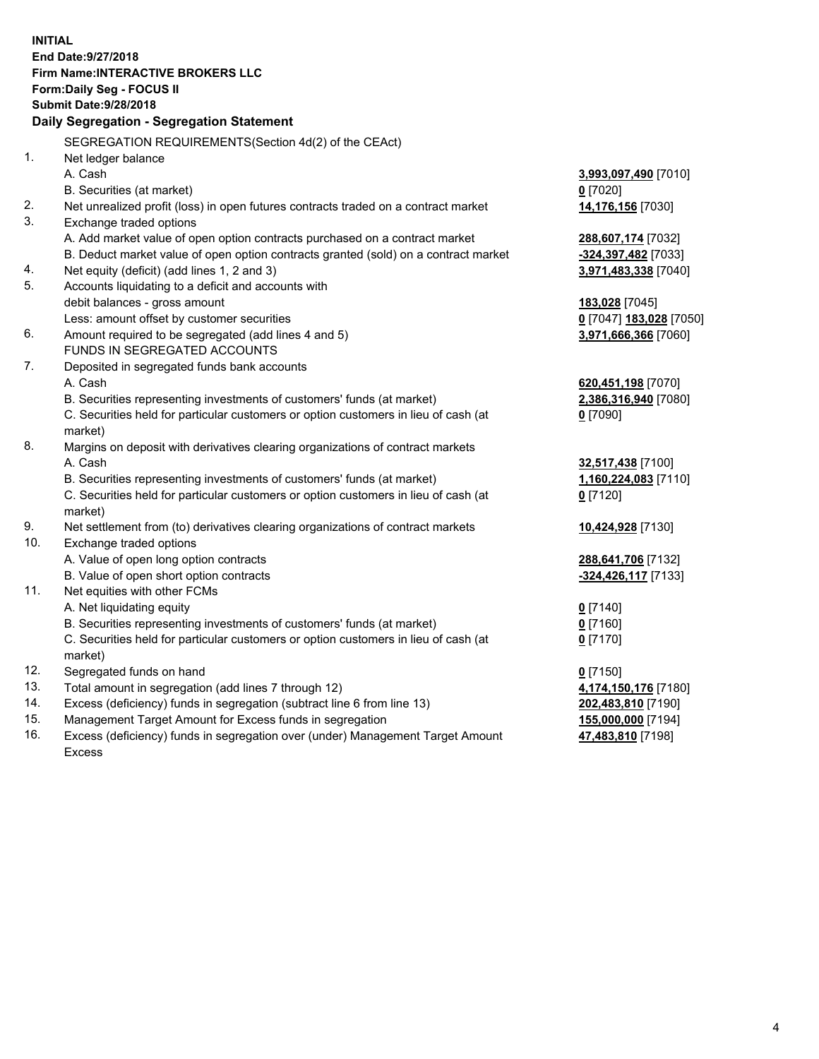**INITIAL End Date:9/27/2018 Firm Name:INTERACTIVE BROKERS LLC Form:Daily Seg - FOCUS II Submit Date:9/28/2018 Daily Segregation - Segregation Statement** SEGREGATION REQUIREMENTS(Section 4d(2) of the CEAct) 1. Net ledger balance A. Cash **3,993,097,490** [7010] B. Securities (at market) **0** [7020] 2. Net unrealized profit (loss) in open futures contracts traded on a contract market **14,176,156** [7030] 3. Exchange traded options A. Add market value of open option contracts purchased on a contract market **288,607,174** [7032] B. Deduct market value of open option contracts granted (sold) on a contract market **-324,397,482** [7033] 4. Net equity (deficit) (add lines 1, 2 and 3) **3,971,483,338** [7040] 5. Accounts liquidating to a deficit and accounts with debit balances - gross amount **183,028** [7045] Less: amount offset by customer securities **0** [7047] **183,028** [7050] 6. Amount required to be segregated (add lines 4 and 5) **3,971,666,366** [7060] FUNDS IN SEGREGATED ACCOUNTS 7. Deposited in segregated funds bank accounts A. Cash **620,451,198** [7070] B. Securities representing investments of customers' funds (at market) **2,386,316,940** [7080] C. Securities held for particular customers or option customers in lieu of cash (at market) **0** [7090] 8. Margins on deposit with derivatives clearing organizations of contract markets A. Cash **32,517,438** [7100] B. Securities representing investments of customers' funds (at market) **1,160,224,083** [7110] C. Securities held for particular customers or option customers in lieu of cash (at market) **0** [7120] 9. Net settlement from (to) derivatives clearing organizations of contract markets **10,424,928** [7130] 10. Exchange traded options A. Value of open long option contracts **288,641,706** [7132] B. Value of open short option contracts **-324,426,117** [7133] 11. Net equities with other FCMs A. Net liquidating equity **0** [7140] B. Securities representing investments of customers' funds (at market) **0** [7160] C. Securities held for particular customers or option customers in lieu of cash (at market) **0** [7170] 12. Segregated funds on hand **0** [7150] 13. Total amount in segregation (add lines 7 through 12) **4,174,150,176** [7180] 14. Excess (deficiency) funds in segregation (subtract line 6 from line 13) **202,483,810** [7190] 15. Management Target Amount for Excess funds in segregation **155,000,000** [7194] **47,483,810** [7198]

16. Excess (deficiency) funds in segregation over (under) Management Target Amount Excess